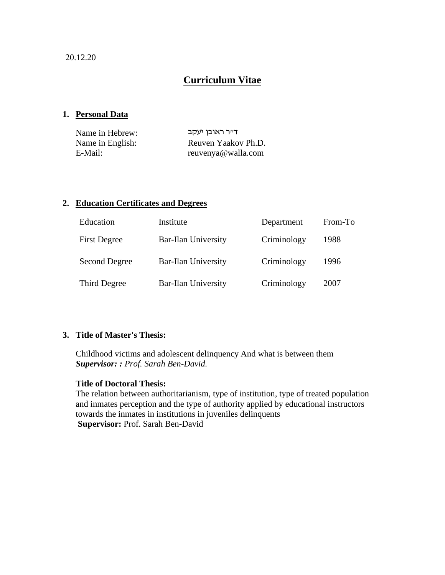20.12.20

# **Curriculum Vitae**

### **1. Personal Data**

| Name in Hebrew:  | ד״ר ראובן יעקב      |
|------------------|---------------------|
| Name in English: | Reuven Yaakov Ph.D. |
| E-Mail:          | reuvenya@walla.com  |

### **2. Education Certificates and Degrees**

| Education           | Institute                  | Department  | From-To |
|---------------------|----------------------------|-------------|---------|
| <b>First Degree</b> | <b>Bar-Ilan University</b> | Criminology | 1988    |
| Second Degree       | <b>Bar-Ilan University</b> | Criminology | 1996    |
| Third Degree        | <b>Bar-Ilan University</b> | Criminology | 2007    |

### **3. Title of Master's Thesis:**

Childhood victims and adolescent delinquency And what is between them *Supervisor: : Prof. Sarah Ben-David.*

### **Title of Doctoral Thesis:**

The relation between authoritarianism, type of institution, type of treated population and inmates perception and the type of authority applied by educational instructors towards the inmates in institutions in juveniles delinquents **Supervisor:** Prof. Sarah Ben-David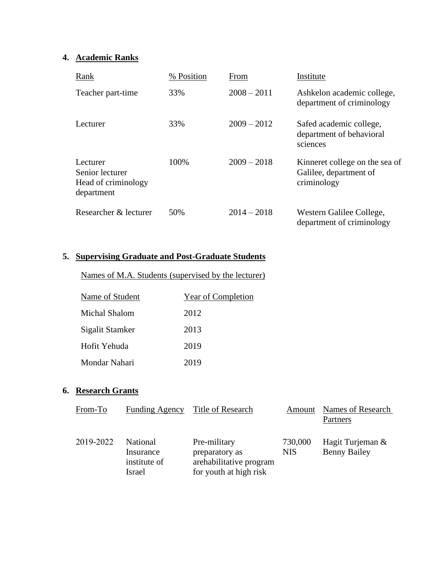## **4. Academic Ranks**

| Rank                                                             | % Position | From          | Institute                                                               |
|------------------------------------------------------------------|------------|---------------|-------------------------------------------------------------------------|
| Teacher part-time                                                | 33%        | $2008 - 2011$ | Ashkelon academic college,<br>department of criminology                 |
| Lecturer                                                         | 33%        | $2009 - 2012$ | Safed academic college,<br>department of behavioral<br>sciences         |
| Lecturer<br>Senior lecturer<br>Head of criminology<br>department | 100%       | $2009 - 2018$ | Kinneret college on the sea of<br>Galilee, department of<br>criminology |
| Researcher & lecturer                                            | 50%        | $2014 - 2018$ | Western Galilee College,<br>department of criminology                   |

### **5. Supervising Graduate and Post-Graduate Students**

Names of M.A. Students (supervised by the lecturer)

| Name of Student      | Year of Completion |
|----------------------|--------------------|
| <b>Michal Shalom</b> | 2012               |
| Sigalit Stamker      | 2013               |
| Hofit Yehuda         | 2019               |
| Mondar Nahari        | 2019               |

### **6. Research Grants**

| From-To   | <b>Funding Agency</b>                                  | Title of Research                                                                   | Amount                | Names of Research                       |
|-----------|--------------------------------------------------------|-------------------------------------------------------------------------------------|-----------------------|-----------------------------------------|
|           |                                                        |                                                                                     |                       | Partners                                |
| 2019-2022 | National<br>Insurance<br>institute of<br><b>Israel</b> | Pre-military<br>preparatory as<br>arehabilitative program<br>for youth at high risk | 730,000<br><b>NIS</b> | Hagit Turjeman &<br><b>Benny Bailey</b> |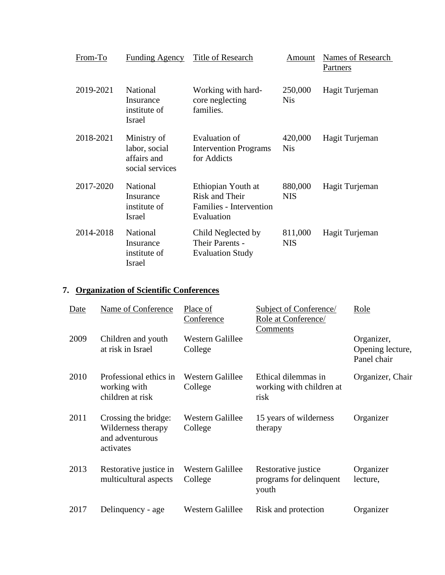| From-To   | Funding Agency                                                 | Title of Research                                                             | Amount                | Names of Research<br>Partners |
|-----------|----------------------------------------------------------------|-------------------------------------------------------------------------------|-----------------------|-------------------------------|
| 2019-2021 | <b>National</b><br>Insurance<br>institute of<br><b>Israel</b>  | Working with hard-<br>core neglecting<br>families.                            | 250,000<br><b>Nis</b> | Hagit Turjeman                |
| 2018-2021 | Ministry of<br>labor, social<br>affairs and<br>social services | Evaluation of<br><b>Intervention Programs</b><br>for Addicts                  | 420,000<br><b>Nis</b> | Hagit Turjeman                |
| 2017-2020 | <b>National</b><br>Insurance<br>institute of<br>Israel         | Ethiopian Youth at<br>Risk and Their<br>Families - Intervention<br>Evaluation | 880,000<br><b>NIS</b> | Hagit Turjeman                |
| 2014-2018 | <b>National</b><br>Insurance<br>institute of<br>Israel         | Child Neglected by<br>Their Parents -<br><b>Evaluation Study</b>              | 811,000<br><b>NIS</b> | Hagit Turjeman                |

# **7. Organization of Scientific Conferences**

| Date | Name of Conference                                                         | Place of<br>Conference             | Subject of Conference/<br>Role at Conference/<br>Comments | Role                                          |
|------|----------------------------------------------------------------------------|------------------------------------|-----------------------------------------------------------|-----------------------------------------------|
| 2009 | Children and youth<br>at risk in Israel                                    | <b>Western Galillee</b><br>College |                                                           | Organizer,<br>Opening lecture,<br>Panel chair |
| 2010 | Professional ethics in<br>working with<br>children at risk                 | Western Galillee<br>College        | Ethical dilemmas in<br>working with children at<br>risk   | Organizer, Chair                              |
| 2011 | Crossing the bridge:<br>Wilderness therapy<br>and adventurous<br>activates | <b>Western Galillee</b><br>College | 15 years of wilderness<br>therapy                         | Organizer                                     |
| 2013 | Restorative justice in<br>multicultural aspects                            | <b>Western Galillee</b><br>College | Restorative justice<br>programs for delinquent<br>youth   | Organizer<br>lecture,                         |
| 2017 | Delinquency - age                                                          | <b>Western Galillee</b>            | Risk and protection                                       | Organizer                                     |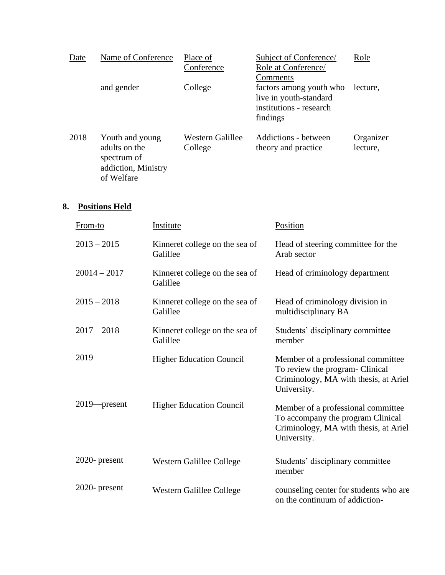| Date | Name of Conference                                                                   | Place of<br>Conference      | <b>Subject of Conference/</b><br>Role at Conference/<br>Comments                         | Role                  |
|------|--------------------------------------------------------------------------------------|-----------------------------|------------------------------------------------------------------------------------------|-----------------------|
|      | and gender                                                                           | College                     | factors among youth who<br>live in youth-standard<br>institutions - research<br>findings | lecture.              |
| 2018 | Youth and young<br>adults on the<br>spectrum of<br>addiction, Ministry<br>of Welfare | Western Galillee<br>College | Addictions - between<br>theory and practice                                              | Organizer<br>lecture, |

### **8. Positions Held**

| From-to         | Institute                                  | Position                                                                                                                        |
|-----------------|--------------------------------------------|---------------------------------------------------------------------------------------------------------------------------------|
| $2013 - 2015$   | Kinneret college on the sea of<br>Galillee | Head of steering committee for the<br>Arab sector                                                                               |
| $20014 - 2017$  | Kinneret college on the sea of<br>Galillee | Head of criminology department                                                                                                  |
| $2015 - 2018$   | Kinneret college on the sea of<br>Galillee | Head of criminology division in<br>multidisciplinary BA                                                                         |
| $2017 - 2018$   | Kinneret college on the sea of<br>Galillee | Students' disciplinary committee<br>member                                                                                      |
| 2019            | <b>Higher Education Council</b>            | Member of a professional committee<br>To review the program- Clinical<br>Criminology, MA with thesis, at Ariel<br>University.   |
| $2019$ -present | <b>Higher Education Council</b>            | Member of a professional committee<br>To accompany the program Clinical<br>Criminology, MA with thesis, at Ariel<br>University. |
| 2020- present   | Western Galillee College                   | Students' disciplinary committee<br>member                                                                                      |
| 2020- present   | Western Galillee College                   | counseling center for students who are<br>on the continuum of addiction-                                                        |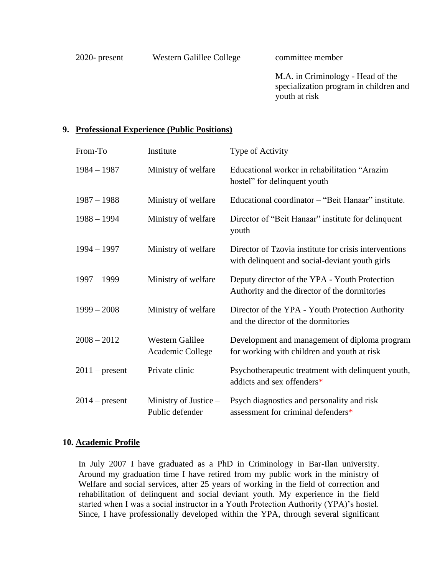M.A. in Criminology - Head of the specialization program in children and youth at risk

### **9. Professional Experience (Public Positions)**

| From-To          | Institute                                  | <b>Type of Activity</b>                                                                                 |
|------------------|--------------------------------------------|---------------------------------------------------------------------------------------------------------|
| $1984 - 1987$    | Ministry of welfare                        | Educational worker in rehabilitation "Arazim"<br>hostel" for delinquent youth                           |
| $1987 - 1988$    | Ministry of welfare                        | Educational coordinator – "Beit Hanaar" institute.                                                      |
| $1988 - 1994$    | Ministry of welfare                        | Director of "Beit Hanaar" institute for delinquent<br>youth                                             |
| $1994 - 1997$    | Ministry of welfare                        | Director of Tzovia institute for crisis interventions<br>with delinquent and social-deviant youth girls |
| $1997 - 1999$    | Ministry of welfare                        | Deputy director of the YPA - Youth Protection<br>Authority and the director of the dormitories          |
| $1999 - 2008$    | Ministry of welfare                        | Director of the YPA - Youth Protection Authority<br>and the director of the dormitories                 |
| $2008 - 2012$    | <b>Western Galilee</b><br>Academic College | Development and management of diploma program<br>for working with children and youth at risk            |
| $2011$ – present | Private clinic                             | Psychotherapeutic treatment with delinquent youth,<br>addicts and sex offenders*                        |
| $2014$ – present | Ministry of Justice $-$<br>Public defender | Psych diagnostics and personality and risk<br>assessment for criminal defenders*                        |

### **10. Academic Profile**

In July 2007 I have graduated as a PhD in Criminology in Bar-Ilan university. Around my graduation time I have retired from my public work in the ministry of Welfare and social services, after 25 years of working in the field of correction and rehabilitation of delinquent and social deviant youth. My experience in the field started when I was a social instructor in a Youth Protection Authority (YPA)'s hostel. Since, I have professionally developed within the YPA, through several significant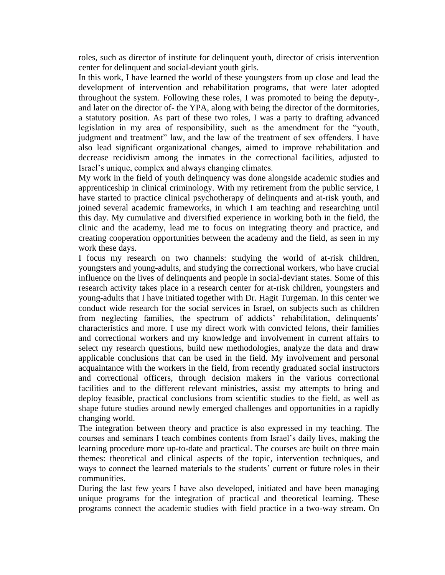roles, such as director of institute for delinquent youth, director of crisis intervention center for delinquent and social-deviant youth girls.

In this work, I have learned the world of these youngsters from up close and lead the development of intervention and rehabilitation programs, that were later adopted throughout the system. Following these roles, I was promoted to being the deputy-, and later on the director of- the YPA, along with being the director of the dormitories, a statutory position. As part of these two roles, I was a party to drafting advanced legislation in my area of responsibility, such as the amendment for the "youth, judgment and treatment" law, and the law of the treatment of sex offenders. I have also lead significant organizational changes, aimed to improve rehabilitation and decrease recidivism among the inmates in the correctional facilities, adjusted to Israel's unique, complex and always changing climates.

My work in the field of youth delinquency was done alongside academic studies and apprenticeship in clinical criminology. With my retirement from the public service, I have started to practice clinical psychotherapy of delinquents and at-risk youth, and joined several academic frameworks, in which I am teaching and researching until this day. My cumulative and diversified experience in working both in the field, the clinic and the academy, lead me to focus on integrating theory and practice, and creating cooperation opportunities between the academy and the field, as seen in my work these days.

I focus my research on two channels: studying the world of at-risk children, youngsters and young-adults, and studying the correctional workers, who have crucial influence on the lives of delinquents and people in social-deviant states. Some of this research activity takes place in a research center for at-risk children, youngsters and young-adults that I have initiated together with Dr. Hagit Turgeman. In this center we conduct wide research for the social services in Israel, on subjects such as children from neglecting families, the spectrum of addicts' rehabilitation, delinquents' characteristics and more. I use my direct work with convicted felons, their families and correctional workers and my knowledge and involvement in current affairs to select my research questions, build new methodologies, analyze the data and draw applicable conclusions that can be used in the field. My involvement and personal acquaintance with the workers in the field, from recently graduated social instructors and correctional officers, through decision makers in the various correctional facilities and to the different relevant ministries, assist my attempts to bring and deploy feasible, practical conclusions from scientific studies to the field, as well as shape future studies around newly emerged challenges and opportunities in a rapidly changing world.

The integration between theory and practice is also expressed in my teaching. The courses and seminars I teach combines contents from Israel's daily lives, making the learning procedure more up-to-date and practical. The courses are built on three main themes: theoretical and clinical aspects of the topic, intervention techniques, and ways to connect the learned materials to the students' current or future roles in their communities.

During the last few years I have also developed, initiated and have been managing unique programs for the integration of practical and theoretical learning. These programs connect the academic studies with field practice in a two-way stream. On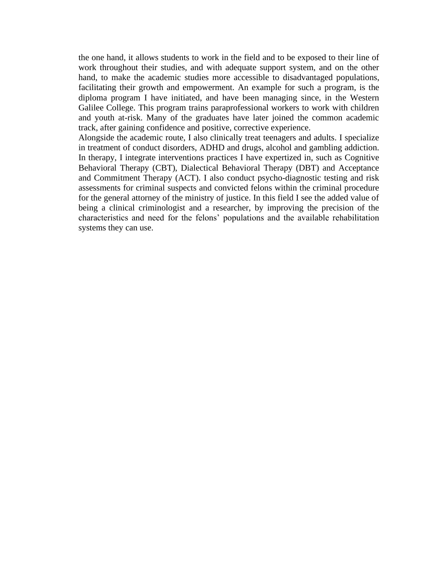the one hand, it allows students to work in the field and to be exposed to their line of work throughout their studies, and with adequate support system, and on the other hand, to make the academic studies more accessible to disadvantaged populations, facilitating their growth and empowerment. An example for such a program, is the diploma program I have initiated, and have been managing since, in the Western Galilee College. This program trains paraprofessional workers to work with children and youth at-risk. Many of the graduates have later joined the common academic track, after gaining confidence and positive, corrective experience.

Alongside the academic route, I also clinically treat teenagers and adults. I specialize in treatment of conduct disorders, ADHD and drugs, alcohol and gambling addiction. In therapy, I integrate interventions practices I have expertized in, such as Cognitive Behavioral Therapy (CBT), Dialectical Behavioral Therapy (DBT) and Acceptance and Commitment Therapy (ACT). I also conduct psycho-diagnostic testing and risk assessments for criminal suspects and convicted felons within the criminal procedure for the general attorney of the ministry of justice. In this field I see the added value of being a clinical criminologist and a researcher, by improving the precision of the characteristics and need for the felons' populations and the available rehabilitation systems they can use.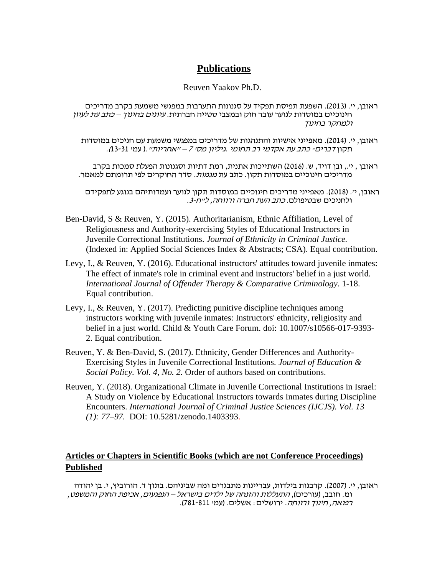# **Publications**

### Reuven Yaakov Ph.D.

- ראובן, יי. (2013). השפעת תפיסת תפקיד על סגנונות התערבות במפגשי משמעת בקרב מדריכים חינוכיים במוסדות לנוער עובר חוק ובמצבי סטייה חברתית. עיונים בחינוך – כתב עת לעיון ולמחקר בחינוך
	- ראובן, יי. (2014). מאפייני אישיות והתנהגות של מדריכים במפגשי משמעת עם חניכים במוסדות תקון דברים- כתב עת אקדמי רב תחומי .גיליון מס' 7 – "אחריות".) עמ' 13-31(.
	- ראובן , י',. ובן דויד, ש. )2016( השתייכות אתנית, רמת דתיות וסגנונות הפעלת סמכות בקרב מדריכים חינוכיים במוסדות תקון. כתב עת *מגמות.* סדר החוקרים לפי תרומתם למאמר.

ראובן, יי. (2018). מאפייני מדריכים חינוכיים במוסדות תקון לנוער ועמדותיהם בנוגע לתפקידם ולחניכים שבטיפולם. כתב העת חברה ורווחה, ל"ח.3-

- Ben-David, S & Reuven, Y. (2015). Authoritarianism, Ethnic Affiliation, Level of Religiousness and Authority-exercising Styles of Educational Instructors in Juvenile Correctional Institutions. *Journal of Ethnicity in Criminal Justice.* (Indexed in: Applied Social Sciences Index & Abstracts; CSA). Equal contribution.
- Levy, I., & Reuven, Y. (2016). Educational instructors' attitudes toward juvenile inmates: The effect of inmate's role in criminal event and instructors' belief in a just world. *International Journal of Offender Therapy & Comparative Criminology*. 1-18. Equal contribution.
- Levy, I., & Reuven, Y. (2017). Predicting punitive discipline techniques among instructors working with juvenile inmates: Instructors' ethnicity, religiosity and belief in a just world. Child & Youth Care Forum. doi: 10.1007/s10566-017-9393- 2. Equal contribution.
- Reuven, Y. & Ben-David, S. (2017). Ethnicity, Gender Differences and Authority-Exercising Styles in Juvenile Correctional Institutions*. Journal of Education & Social Policy. Vol. 4, No. 2.* Order of authors based on contributions.
- Reuven, Y. (2018). Organizational Climate in Juvenile Correctional Institutions in Israel: A Study on Violence by Educational Instructors towards Inmates during Discipline Encounters. *International Journal of Criminal Justice Sciences (IJCJS). Vol. 13 (1): 77–97.* DOI: 10.5281/zenodo.1403393.

### **Articles or Chapters in Scientific Books (which are not Conference Proceedings) Published**

ראובן, י'. (2007). קרבנות בילדות, עבריינות מתבגרים ומה שביניהם. בתוך ד. הורוביץ, י. בן יהודה ומ. חובב, )עורכים(, התעללות והזנחה של ילדים בישראל – הנפגעים, אכיפת החוק והמשפט, רפואה, חינוך ורווחה. ירושלים: אשלים. )עמ' 781-811(.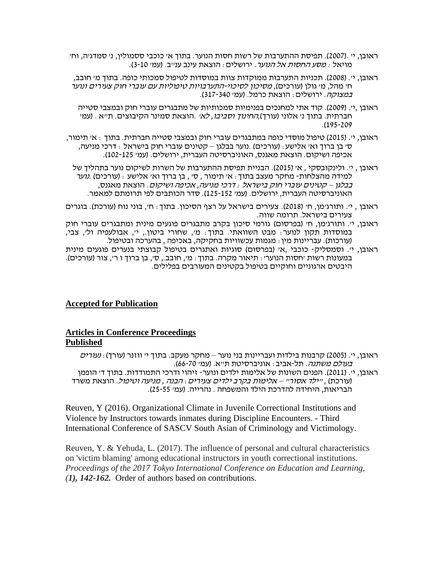- ראובן, י' .(2007). תפיסת ההתערבות של רשות חסות הנוער. בתוך א' כוכבי ססמולין, נ' סמדג'ה, וח' מויאל : *מסע החסות אל הנוער*. ירושלים: הוצאת עינב ענ״ב. (עמ׳ 10-3).
- ראובן, י׳. (2008). תכניות התערבות ממוקדות צוות במוסדות לטיפול סמכותי כופה. בתוך מ׳ חובב, ח' מהל, מ' גולן (עורכים), *מסיכון לסיכוי-התערבויות טיפוליות עם עוברי חוק צעירים ונוער* במצוקה. ירושלים: הוצאת כרמל. (עמי 317-340).
	- ראובן ,י'. )2009(. קוד אתי למחנכים בפנימיות סמכותיות של מתבגרים עוברי חוק ובמצבי סטייה חברתית. בתוך נ*י אלוני (עורך),החינוך וסביבו, לאי* .הוצאת סמינר הקיבוצים. ת״א . (עמ*י* .)195-209
- ראובן, י'. )2015( טיפול מוסדי כופה במתבגרים עוברי חוק ובמצבי סטייה חברתית. בתוך : א' תימור, ס' בן ברוך וא' אלישע: (עורכים) .נוער בבלגן – קטינים עוברי חוק בישראל : דרכי מניעה, אכיפה ושיקום. הוצאת מאגנס, האוניברסיטה העברית, ירושלים. )עמ' 102-125(.
	- ראובן , י׳. ולינקובסקי , אי (2015). הבניית תפיסת ההתערבות של השרות לשיקום נוער בתהליך של למידה מהצלחות- מחקר מעצב בתוך: א׳ תימור , ס׳ , בן ברוך וא׳ אלישע : (עורכים) .*נוער* בבלגן – קטינים עוברי חוק בישראל : דרכי מניעה, אכיפה ושיקום. הוצאת מאגנס, האוניברסיטה העברית, ירושלים. )עמ' 125-152(. סדר הכותבים לפי תרומתם למאמר.
- ראובן , י'. ותורג'מן, ח' )2018(. צעירים בישראל על רצף הסיכון. בתוך: ח', בוני נוח )עורכת(. בוגרים צעירים בישראל. תרומה שווה.
- ראובן, י'. ותורג'מן, ח' )בפרסום(גורמי סיכון בקרב מתבגרים פוגעים מינית ומתבגרים עוברי חוק במוסדות תקון לנוער: מבט השוואתי. בתוך: מ', שחורי ביטון,. י', אבולעפיה ול', צבי, (עורכות). עבריינות מין: מגמות עכשוויות בחקיקה, באכיפה , בהערכה ובטיפול.
- ראובן, י'. וסמסליק- כוכבי ,א' (בפרסום) סוגיות ואתגרים בטיפול קבוצתי בנערים פוגעים מינית במעונות רשות 'חסות הנוער': תיאור מקרה. בתוך: מ', חובב., ס', בן ברוך ו ר', צור (עורכים). היבטים ארגוניים וחוקיים בטיפול בקטינים המעורבים בפלילים.

### **Accepted for Publication**

### **Articles in Conference Proceedings Published**

ראובן, י'. (2005) קרבנות בילדות ועבריינות בני נוער – מחקר מעקב. בתוך י*י* ווזנר (עורך) : *נעורים* בעולם משתנה. תל -אביב: אוניברסיטת ת"א. )עמ' 66-70(. ראובן, יי. (2011). הפנים השונות של אלימות ילדים ונוער- זיהוי ודרכי התמודדות. בתוך די הופמן )עורכת( , "ילד אסור" – אלימות בקרב ילדים צעירים: הבנה , מניעה וטיפול. הוצאת משרד הבריאות, היחידה להדרכת הילד והמשפחה . נהרייה. )עמ' 25-55(.

Reuven, Y (2016). Organizational Climate in Juvenile Correctional Institutions and Violence by Instructors towards inmates during Discipline Encounters. - Third International Conference of SASCV South Asian of Criminology and Victimology.

Reuven, Y. & Yehuda, L. (2017). The influence of personal and cultural characteristics on 'victim blaming' among educational instructors in youth correctional institutions. *Proceedings of the 2017 Tokyo International Conference on Education and Learning, ([1\), 142-162.](https://mail.google.com/mail/u/0/#_ftn1)* Order of authors based on contributions.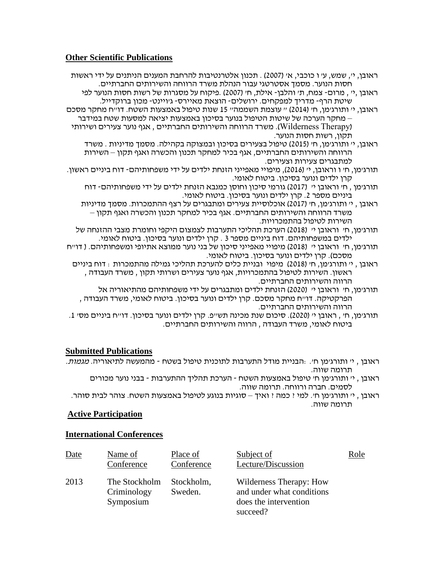### **Other Scientific Publications**

- ראובן, יי, שמש, עי ו כוכבי, אי (2007) . תכנון אלטרנטיבות להרחבת המענים הניתנים על ידי ראשות חסות הנוער. מסמך אסטרטגי עבור הנהלת משרד הרווחה והשירותים החברתיים.
	- ראובן ,י' , מרום- צמח, ת׳ והלבן- אילת, ח׳ (2007) .פיקוח על מסגרות של רשות חסות הנוער לפי שיטת הרף- מדריך למפקחים. ירושלים- הוצאת מאיירס- ג'ויינט- מכון ברוקדייל.
- ראובן, י' ותורג'מן, ח' )2014( " עוצמת השממה" 15 שנות טיפול באמצעות השטח. דו"ח מחקר מסכם – מחקר הערכה של שיטות הטיפול בנוער בסיכון באמצעות יציאה למסעות שטח במידבר )Therapy Wilderness). משרד הרווחה והשירותים החברתיים , אגף נוער צעירים ושירותי תקון, רשות חסות הנוער.
	- ראובן, י' ותורג'מן, ח' (2015) טיפול בצעירים בסיכון ובמצוקה בקהילה. מסמד מדיניות . משרד הרווחה והשירותים החברתיים, אגף בכיר למחקר תכנון והכשרה ואגף תקון – השירות למתבגרים צעירות וצעירים.
- תורג'מן, ח' ו וראובן, י' )2016(, מיפויי מאפייני הזנחת ילדים על ידי משפחותיהם- דוח ביניים ראשון. קרן ילדים ונוער בסיכון. ביטוח לאומי.
	- תורג'מן , ח' וראובן י' ) 2017( גורמי סיכון וחוסן כמנבא הזנחת ילדים על ידי משפחותיהם- דוח ביניים מספר 2. קרן ילדים ונוער בסיכון. ביטוח לאומי.
	- ראובן , י' ותורג'מן, ח' )2017( אוכלוסיית צעירים ומתבגרים על רצף ההתמכרות. מסמך מדיניות משרד הרווחה והשירותים החברתיים. אגף בכיר למחקר תכנון והכשרה ואגף תקון – השירות לטיפול בהתמכרויות.
	- תורג'מן, ח' וראובן י' ) 2018( הערכת תהליכי התערבות לצמצום היקפי וחומרת מצבי ההזנחה של ילדים במשפחותיהם. דוח ביניים מספר 3 . קרן ילדים ונוער בסיכון. ביטוח לאומי.
- תורג'מן, ח' וראובן י' ) 2018( מיפויי מאפייני סיכון של בני נוער ממוצא אתיופי ומשפחותיהם. ) דו"ח . מסכם). קרן ילדים ונוער בסיכון. ביטוח לאומי
- ראובן , י' ותורג'מן, ח' )2018( מיפוי ובניית כלים להערכת תהליכי גמילה מהתמכרות : דוח ביניים ראשון. השירות לטיפול בהתמכרויות, אגף נוער צעירים ושרותי תקון , משרד העבודה , הרווה והשירותים החברתיים.
	- תורג'מן, ח' וראובן י' ) 2020( הזנחת ילדים ומתבגרים על ידי משפחותיהם מהתיאוריה אל הפרקטיקה. דו"ח מחקר מסכם. קרן ילדים ונוער בסיכון. ביטוח לאומי, משרד העבודה , הרווה והשירותים החברתיים.
- תורג'מן, ח' , ראובן י' )2020( . סיכום שנת מכינה תש"פ. קרן ילדים ונוער בסיכון. דו"ח ביניים מס' .1 ביטוח לאומי, משרד העבודה , הרווה והשירותים החברתיים.

#### **Submitted Publications**

- ראובן , י' ותורג'מן ח'. :הבניית מודל התערבות לתוכנית טיפול בשטח מהמעשה לתיאוריה. מגמות. תרומה שווה.
	- ראובן , י' ותורג'מן ח' טיפול באמצעות השטח הערכת תהליך ההתערבות בבני נוער מכורים לסמים. חברה ורווחה. תרומה שווה.
- ראובן , י' ותורג'מן ח'. למי ? כמה ? ואיך סוגיות בנוגע לטיפול באמצעות השטח. צוהר לבית סוהר. תרומה שווה.

#### **Active Participation**

#### **International Conferences**

| Date | Name of<br>Conference                     | Place of<br>Conference | Subject of<br>Lecture/Discussion                                                          | Role |
|------|-------------------------------------------|------------------------|-------------------------------------------------------------------------------------------|------|
| 2013 | The Stockholm<br>Criminology<br>Symposium | Stockholm,<br>Sweden.  | Wilderness Therapy: How<br>and under what conditions<br>does the intervention<br>succeed? |      |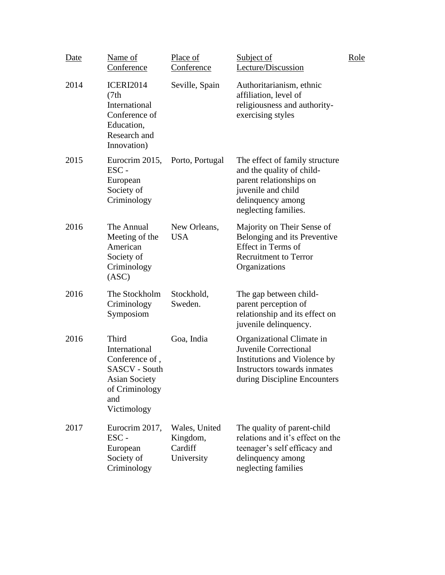| Date | Name of<br>Conference                                                                                                            | Place of<br><b>Conference</b>                      | Subject of<br>Lecture/Discussion                                                                                                                          | Role |
|------|----------------------------------------------------------------------------------------------------------------------------------|----------------------------------------------------|-----------------------------------------------------------------------------------------------------------------------------------------------------------|------|
| 2014 | <b>ICERI2014</b><br>(7th)<br>International<br>Conference of<br>Education,<br>Research and<br>Innovation)                         | Seville, Spain                                     | Authoritarianism, ethnic<br>affiliation, level of<br>religiousness and authority-<br>exercising styles                                                    |      |
| 2015 | Eurocrim 2015,<br>ESC-<br>European<br>Society of<br>Criminology                                                                  | Porto, Portugal                                    | The effect of family structure<br>and the quality of child-<br>parent relationships on<br>juvenile and child<br>delinquency among<br>neglecting families. |      |
| 2016 | The Annual<br>Meeting of the<br>American<br>Society of<br>Criminology<br>(ASC)                                                   | New Orleans,<br><b>USA</b>                         | Majority on Their Sense of<br>Belonging and its Preventive<br>Effect in Terms of<br><b>Recruitment to Terror</b><br>Organizations                         |      |
| 2016 | The Stockholm<br>Criminology<br>Symposiom                                                                                        | Stockhold,<br>Sweden.                              | The gap between child-<br>parent perception of<br>relationship and its effect on<br>juvenile delinquency.                                                 |      |
| 2016 | Third<br>International<br>Conference of,<br><b>SASCV</b> - South<br><b>Asian Society</b><br>of Criminology<br>and<br>Victimology | Goa, India                                         | Organizational Climate in<br><b>Juvenile Correctional</b><br>Institutions and Violence by<br>Instructors towards inmates<br>during Discipline Encounters  |      |
| 2017 | Eurocrim 2017,<br>ESC-<br>European<br>Society of<br>Criminology                                                                  | Wales, United<br>Kingdom,<br>Cardiff<br>University | The quality of parent-child<br>relations and it's effect on the<br>teenager's self efficacy and<br>delinquency among<br>neglecting families               |      |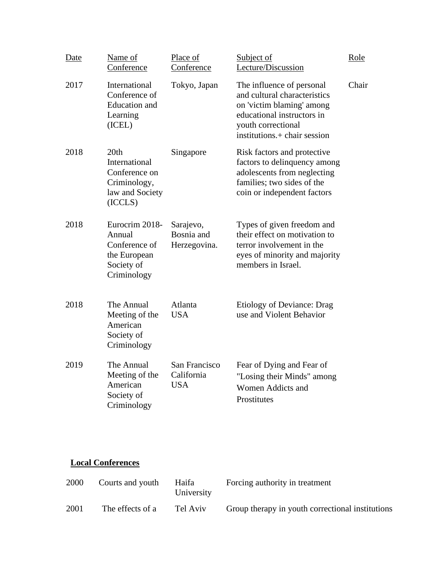| Date | Name of<br>Conference                                                                  | Place of<br>Conference                    | Subject of<br>Lecture/Discussion                                                                                                                                           | Role  |
|------|----------------------------------------------------------------------------------------|-------------------------------------------|----------------------------------------------------------------------------------------------------------------------------------------------------------------------------|-------|
| 2017 | International<br>Conference of<br><b>Education</b> and<br>Learning<br>(ICEL)           | Tokyo, Japan                              | The influence of personal<br>and cultural characteristics<br>on 'victim blaming' among<br>educational instructors in<br>youth correctional<br>institutions.+ chair session | Chair |
| 2018 | 20th<br>International<br>Conference on<br>Criminology,<br>law and Society<br>(ICCLS)   | Singapore                                 | Risk factors and protective<br>factors to delinquency among<br>adolescents from neglecting<br>families; two sides of the<br>coin or independent factors                    |       |
| 2018 | Eurocrim 2018-<br>Annual<br>Conference of<br>the European<br>Society of<br>Criminology | Sarajevo,<br>Bosnia and<br>Herzegovina.   | Types of given freedom and<br>their effect on motivation to<br>terror involvement in the<br>eyes of minority and majority<br>members in Israel.                            |       |
| 2018 | The Annual<br>Meeting of the<br>American<br>Society of<br>Criminology                  | Atlanta<br><b>USA</b>                     | Etiology of Deviance: Drag<br>use and Violent Behavior                                                                                                                     |       |
| 2019 | The Annual<br>Meeting of the<br>American<br>Society of<br>Criminology                  | San Francisco<br>California<br><b>USA</b> | Fear of Dying and Fear of<br>"Losing their Minds" among<br>Women Addicts and<br>Prostitutes                                                                                |       |

# **Local Conferences**

| 2000 | Courts and youth | Haifa<br>University | Forcing authority in treatment                   |
|------|------------------|---------------------|--------------------------------------------------|
| 2001 | The effects of a | Tel Aviv            | Group therapy in youth correctional institutions |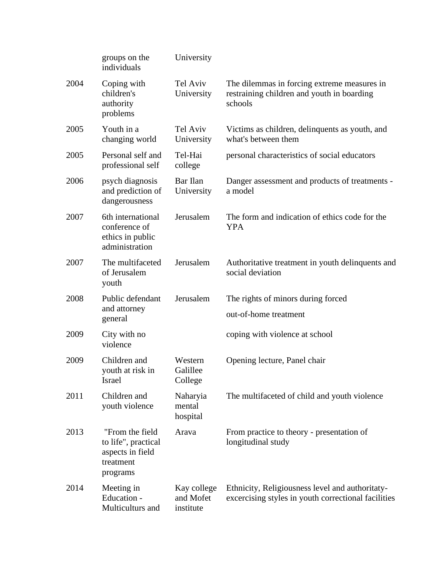|      | groups on the<br>individuals                                                        | University                            |                                                                                                        |
|------|-------------------------------------------------------------------------------------|---------------------------------------|--------------------------------------------------------------------------------------------------------|
| 2004 | Coping with<br>children's<br>authority<br>problems                                  | Tel Aviv<br>University                | The dilemmas in forcing extreme measures in<br>restraining children and youth in boarding<br>schools   |
| 2005 | Youth in a<br>changing world                                                        | Tel Aviv<br>University                | Victims as children, delinquents as youth, and<br>what's between them                                  |
| 2005 | Personal self and<br>professional self                                              | Tel-Hai<br>college                    | personal characteristics of social educators                                                           |
| 2006 | psych diagnosis<br>and prediction of<br>dangerousness                               | Bar Ilan<br>University                | Danger assessment and products of treatments -<br>a model                                              |
| 2007 | 6th international<br>conference of<br>ethics in public<br>administration            | Jerusalem                             | The form and indication of ethics code for the<br><b>YPA</b>                                           |
| 2007 | The multifaceted<br>of Jerusalem<br>youth                                           | Jerusalem                             | Authoritative treatment in youth delinquents and<br>social deviation                                   |
| 2008 | Public defendant                                                                    | Jerusalem                             | The rights of minors during forced                                                                     |
|      | and attorney<br>general                                                             |                                       | out-of-home treatment                                                                                  |
| 2009 | City with no<br>violence                                                            |                                       | coping with violence at school                                                                         |
| 2009 | Children and<br>youth at risk in<br>Israel                                          | Western<br>Galillee<br>College        | Opening lecture, Panel chair                                                                           |
| 2011 | Children and<br>youth violence                                                      | Naharyia<br>mental<br>hospital        | The multifaceted of child and youth violence                                                           |
| 2013 | "From the field<br>to life", practical<br>aspects in field<br>treatment<br>programs | Arava                                 | From practice to theory - presentation of<br>longitudinal study                                        |
| 2014 | Meeting in<br>Education -<br>Multiculturs and                                       | Kay college<br>and Mofet<br>institute | Ethnicity, Religiousness level and authoritaty-<br>excercising styles in youth correctional facilities |